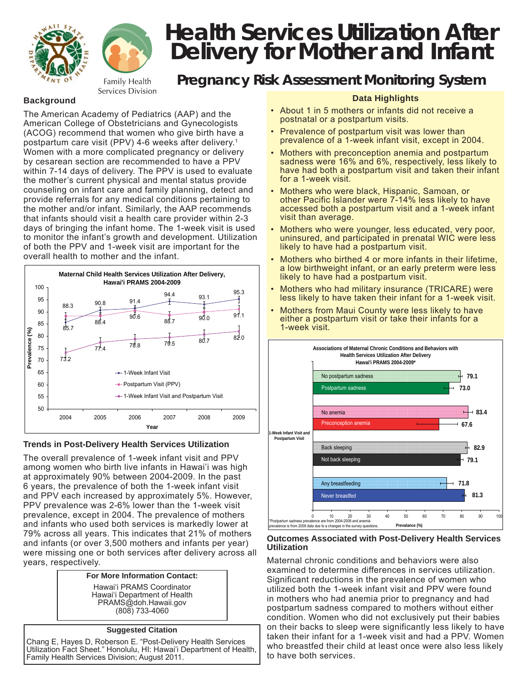



Services Division

# **Health Services Utilization After Delivery for Mother and Infant**

# *Pregnancy Risk Assessment Monitoring System*

# **Background**

The American Academy of Pediatrics (AAP) and the American College of Obstetricians and Gynecologists (ACOG) recommend that women who give birth have a postpartum care visit (PPV) 4-6 weeks after delivery.<sup>1</sup> Women with a more complicated pregnancy or delivery by cesarean section are recommended to have a PPV within 7-14 days of delivery. The PPV is used to evaluate the mother's current physical and mental status provide counseling on infant care and family planning, detect and provide referrals for any medical conditions pertaining to the mother and/or infant. Similarly, the AAP recommends that infants should visit a health care provider within 2-3 days of bringing the infant home. The 1-week visit is used to monitor the infant's growth and development. Utilization of both the PPV and 1-week visit are important for the overall health to mother and the infant.



## **Trends in Post-Delivery Health Services Utilization**

The overall prevalence of 1-week infant visit and PPV among women who birth live infants in Hawai'i was high at approximately 90% between 2004-2009. In the past 6 years, the prevalence of both the 1-week infant visit and PPV each increased by approximately 5%. However, PPV prevalence was 2-6% lower than the 1-week visit prevalence, except in 2004. The prevalence of mothers and infants who used both services is markedly lower at 79% across all years. This indicates that 21% of mothers and infants (or over 3,500 mothers and infants per year) were missing one or both services after delivery across all years, respectively.

#### **For More Information Contact:**

Hawai'i PRAMS Coordinator Hawai'i Department of Health PRAMS@doh.Hawaii.gov (808) 733-4060

#### **Suggested Citation**

Chang E, Hayes D, Roberson E. "Post-Delivery Health Services Utilization Fact Sheet." Honolulu, HI: Hawai'i Department of Health, Family Health Services Division; August 2011.

## **Data Highlights**

- About 1 in 5 mothers or infants did not receive a postnatal or a postpartum visits.
- Prevalence of postpartum visit was lower than prevalence of a 1-week infant visit, except in 2004.
- Mothers with preconception anemia and postpartum sadness were 16% and 6%, respectively, less likely to have had both a postpartum visit and taken their infant for a 1-week visit.
- Mothers who were black, Hispanic, Samoan, or other Pacific Islander were 7-14% less likely to have accessed both a postpartum visit and a 1-week infant visit than average.
- Mothers who were younger, less educated, very poor, uninsured, and participated in prenatal WIC were less likely to have had a postpartum visit.
- Mothers who birthed 4 or more infants in their lifetime, a low birthweight infant, or an early preterm were less likely to have had a postpartum visit.
- Mothers who had military insurance (TRICARE) were less likely to have taken their infant for a 1-week visit.
- Mothers from Maui County were less likely to have either a postpartum visit or take their infants for a 1-week visit.



#### **Outcomes Associated with Post-Delivery Health Services Utilization**

Maternal chronic conditions and behaviors were also examined to determine differences in services utilization. Significant reductions in the prevalence of women who utilized both the 1-week infant visit and PPV were found in mothers who had anemia prior to pregnancy and had postpartum sadness compared to mothers without either condition. Women who did not exclusively put their babies on their backs to sleep were significantly less likely to have taken their infant for a 1-week visit and had a PPV. Women who breastfed their child at least once were also less likely to have both services.